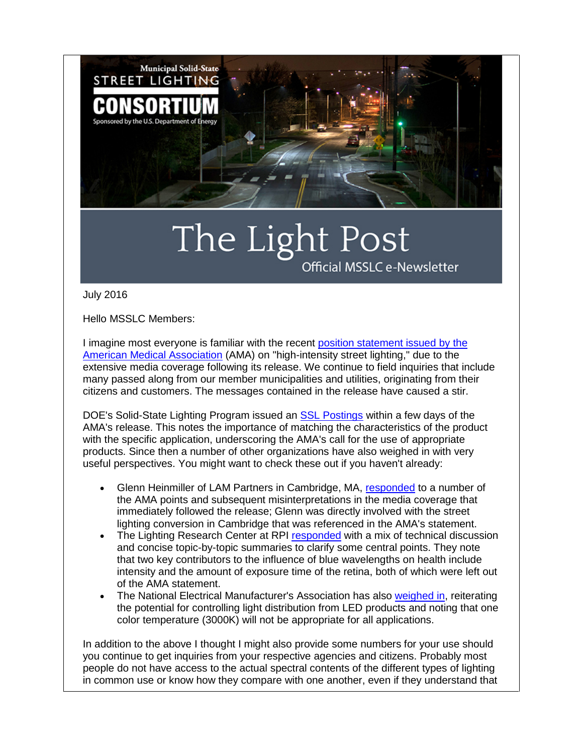

## The Light Post Official MSSLC e-Newsletter

July 2016

Hello MSSLC Members:

I imagine most everyone is familiar with the recent [position statement issued by the](http://r20.rs6.net/tn.jsp?t=9icqcbyab.0.0.az4c8joab.0&id=preview&r=3&p=http%3A%2F%2Fwww.ama-assn.org%2Fama%2Fpub%2Fnews%2Fnews%2F2016%2F2016-06-14-community-guidance-street-lighting.page)  [American Medical Association](http://r20.rs6.net/tn.jsp?t=9icqcbyab.0.0.az4c8joab.0&id=preview&r=3&p=http%3A%2F%2Fwww.ama-assn.org%2Fama%2Fpub%2Fnews%2Fnews%2F2016%2F2016-06-14-community-guidance-street-lighting.page) (AMA) on "high-intensity street lighting," due to the extensive media coverage following its release. We continue to field inquiries that include many passed along from our member municipalities and utilities, originating from their citizens and customers. The messages contained in the release have caused a stir.

DOE's Solid-State Lighting Program issued an [SSL Postings](http://r20.rs6.net/tn.jsp?t=9icqcbyab.0.0.az4c8joab.0&id=preview&r=3&p=http%3A%2F%2Fenergy.gov%2Fsites%2Fprod%2Ffiles%2F2016%2F06%2Ff32%2Fpostings_06-21-16.pdf) within a few days of the AMA's release. This notes the importance of matching the characteristics of the product with the specific application, underscoring the AMA's call for the use of appropriate products. Since then a number of other organizations have also weighed in with very useful perspectives. You might want to check these out if you haven't already:

- Glenn Heinmiller of LAM Partners in Cambridge, MA, [responded](http://r20.rs6.net/tn.jsp?t=9icqcbyab.0.0.az4c8joab.0&id=preview&r=3&p=http%3A%2F%2Fwww.lampartners.com%2Fis-led-street-lighting-bad-for-your-health%2F) to a number of the AMA points and subsequent misinterpretations in the media coverage that immediately followed the release; Glenn was directly involved with the street lighting conversion in Cambridge that was referenced in the AMA's statement.
- The Lighting Research Center at RPI [responded](http://r20.rs6.net/tn.jsp?t=9icqcbyab.0.0.az4c8joab.0&id=preview&r=3&p=http%3A%2F%2Fwww.lrc.rpi.edu%2Fresources%2Fnewsroom%2FAMA.pdf) with a mix of technical discussion and concise topic-by-topic summaries to clarify some central points. They note that two key contributors to the influence of blue wavelengths on health include intensity and the amount of exposure time of the retina, both of which were left out of the AMA statement.
- The National Electrical Manufacturer's Association has also [weighed in,](http://r20.rs6.net/tn.jsp?t=9icqcbyab.0.0.az4c8joab.0&id=preview&r=3&p=http%3A%2F%2Fwww.nema.org%2Fnews%2FPages%2FNEMA-Comments-on-American-Medical-Association-Community-Guidance-Advocating-and-Support-for-Light-Pollution-Control-Efforts.aspx) reiterating the potential for controlling light distribution from LED products and noting that one color temperature (3000K) will not be appropriate for all applications.

In addition to the above I thought I might also provide some numbers for your use should you continue to get inquiries from your respective agencies and citizens. Probably most people do not have access to the actual spectral contents of the different types of lighting in common use or know how they compare with one another, even if they understand that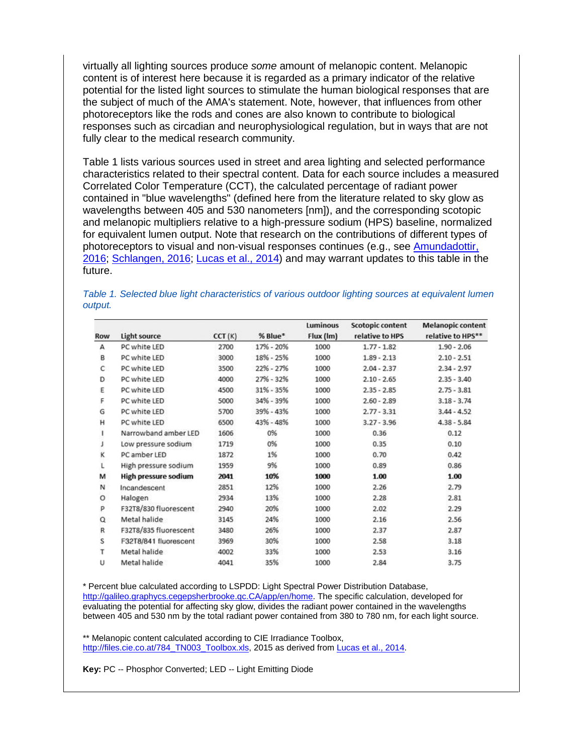virtually all lighting sources produce *some* amount of melanopic content. Melanopic content is of interest here because it is regarded as a primary indicator of the relative potential for the listed light sources to stimulate the human biological responses that are the subject of much of the AMA's statement. Note, however, that influences from other photoreceptors like the rods and cones are also known to contribute to biological responses such as circadian and neurophysiological regulation, but in ways that are not fully clear to the medical research community.

Table 1 lists various sources used in street and area lighting and selected performance characteristics related to their spectral content. Data for each source includes a measured Correlated Color Temperature (CCT), the calculated percentage of radiant power contained in "blue wavelengths" (defined here from the literature related to sky glow as wavelengths between 405 and 530 nanometers [nm]), and the corresponding scotopic and melanopic multipliers relative to a high-pressure sodium (HPS) baseline, normalized for equivalent lumen output. Note that research on the contributions of different types of photoreceptors to visual and non-visual responses continues (e.g., see [Amundadottir,](http://r20.rs6.net/tn.jsp?t=9icqcbyab.0.0.az4c8joab.0&id=preview&r=3&p=http%3A%2F%2Flrt.sagepub.com%2Fcontent%2Fearly%2F2016%2F06%2F27%2F1477153516655844.abstract)  [2016;](http://r20.rs6.net/tn.jsp?t=9icqcbyab.0.0.az4c8joab.0&id=preview&r=3&p=http%3A%2F%2Flrt.sagepub.com%2Fcontent%2Fearly%2F2016%2F06%2F27%2F1477153516655844.abstract) [Schlangen, 2016;](http://r20.rs6.net/tn.jsp?t=9icqcbyab.0.0.az4c8joab.0&id=preview&r=3&p=http%3A%2F%2Flightingforpeople.eu%2F2016%2Fwp-content%2Fuploads%2F2015%2F08%2FHCL-needs-new-quantities-for-light-intensity.pdf) [Lucas et al., 2014\)](http://r20.rs6.net/tn.jsp?t=9icqcbyab.0.0.az4c8joab.0&id=preview&r=3&p=http%3A%2F%2Fwww.sciencedirect.com%2Fscience%2Farticle%2Fpii%2FS0166223613001975) and may warrant updates to this table in the future.

|         | Table 1. Selected blue light characteristics of various outdoor lighting sources at equivalent lumen |  |  |
|---------|------------------------------------------------------------------------------------------------------|--|--|
| output. |                                                                                                      |  |  |

|     |                             |        |               | Luminous  | Scotopic content | <b>Melanopic content</b> |
|-----|-----------------------------|--------|---------------|-----------|------------------|--------------------------|
| Row | Light source                | CCT(K) | % Blue*       | Flux (Im) | relative to HPS  | relative to HPS**        |
| А   | PC white LED                | 2700   | 17% - 20%     | 1000      | $1.77 - 1.82$    | $1.90 - 2.06$            |
| в   | PC white LED                | 3000   | 18% - 25%     | 1000      | $1.89 - 2.13$    | $2.10 - 2.51$            |
| C   | PC white LED                | 3500   | 22% - 27%     | 1000      | $2.04 - 2.37$    | $2.34 - 2.97$            |
| D   | PC white LED                | 4000   | $27\% - 32\%$ | 1000      | $2.10 - 2.65$    | $2.35 - 3.40$            |
| Ε   | PC white LED                | 4500   | 31% - 35%     | 1000      | $2.35 - 2.85$    | $2.75 - 3.81$            |
| F   | PC white LED                | 5000   | 34% - 39%     | 1000      | $2.60 - 2.89$    | $3.18 - 3.74$            |
| G   | PC white LED                | 5700   | 39% - 43%     | 1000      | $2.77 - 3.31$    | $3.44 - 4.52$            |
| н   | PC white LED                | 6500   | 43% - 48%     | 1000      | $3.27 - 3.96$    | $4.38 - 5.84$            |
|     | Narrowband amber LED        | 1606   | 0%            | 1000      | 0.36             | 0.12                     |
|     | Low pressure sodium         | 1719   | 0%            | 1000      | 0.35             | 0.10                     |
| Κ   | PC amber LED                | 1872   | 1%            | 1000      | 0.70             | 0.42                     |
| ι   | High pressure sodium        | 1959   | 9%            | 1000      | 0.89             | 0.86                     |
| м   | <b>High pressure sodium</b> | 2041   | 10%           | 1000      | 1.00             | 1.00                     |
| N   | Incandescent                | 2851   | 12%           | 1000      | 2.26             | 2.79                     |
| O   | Halogen                     | 2934   | 13%           | 1000      | 2.28             | 2.81                     |
| p   | F32T8/830 fluorescent       | 2940   | 20%           | 1000      | 2.02             | 2.29                     |
| Q   | Metal halide                | 3145   | 24%           | 1000      | 2.16             | 2.56                     |
| R   | F32T8/835 fluorescent       | 3480   | 26%           | 1000      | 2.37             | 2.87                     |
| S   | F32T8/841 fluorescent       | 3969   | 30%           | 1000      | 2.58             | 3.18                     |
| T   | Metal halide                | 4002   | 33%           | 1000      | 2.53             | 3.16                     |
| U   | Metal halide                | 4041   | 35%           | 1000      | 2.84             | 3.75                     |

\* Percent blue calculated according to LSPDD: Light Spectral Power Distribution Database, [http://galileo.graphycs.cegepsherbrooke.qc.CA/app/en/home.](http://r20.rs6.net/tn.jsp?t=9icqcbyab.0.0.az4c8joab.0&id=preview&r=3&p=http%3A%2F%2Fgalileo.graphycs.cegepsherbrooke.qc.ca%2Fapp%2Fen%2Fhome) The specific calculation, developed for evaluating the potential for affecting sky glow, divides the radiant power contained in the wavelengths between 405 and 530 nm by the total radiant power contained from 380 to 780 nm, for each light source.

\*\* Melanopic content calculated according to CIE Irradiance Toolbox, [http://files.cie.co.at/784\\_TN003\\_Toolbox.xls,](http://r20.rs6.net/tn.jsp?t=9icqcbyab.0.0.az4c8joab.0&id=preview&r=3&p=http%3A%2F%2Ffiles.cie.co.at%2F784_TN003_Toolbox.xls) 2015 as derived fro[m Lucas et al., 2014.](http://r20.rs6.net/tn.jsp?t=9icqcbyab.0.0.az4c8joab.0&id=preview&r=3&p=http%3A%2F%2Fwww.sciencedirect.com%2Fscience%2Farticle%2Fpii%2FS0166223613001975)

**Key:** PC -- Phosphor Converted; LED -- Light Emitting Diode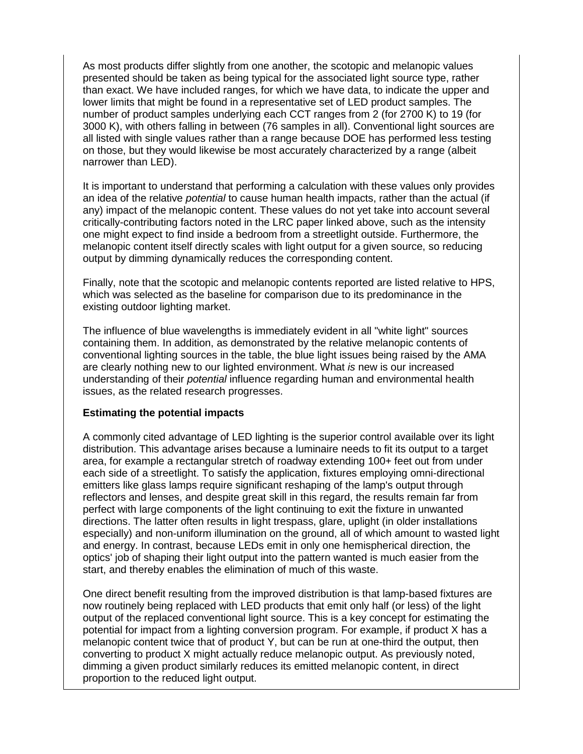As most products differ slightly from one another, the scotopic and melanopic values presented should be taken as being typical for the associated light source type, rather than exact. We have included ranges, for which we have data, to indicate the upper and lower limits that might be found in a representative set of LED product samples. The number of product samples underlying each CCT ranges from 2 (for 2700 K) to 19 (for 3000 K), with others falling in between (76 samples in all). Conventional light sources are all listed with single values rather than a range because DOE has performed less testing on those, but they would likewise be most accurately characterized by a range (albeit narrower than LED).

It is important to understand that performing a calculation with these values only provides an idea of the relative *potential* to cause human health impacts, rather than the actual (if any) impact of the melanopic content. These values do not yet take into account several critically-contributing factors noted in the LRC paper linked above, such as the intensity one might expect to find inside a bedroom from a streetlight outside. Furthermore, the melanopic content itself directly scales with light output for a given source, so reducing output by dimming dynamically reduces the corresponding content.

Finally, note that the scotopic and melanopic contents reported are listed relative to HPS, which was selected as the baseline for comparison due to its predominance in the existing outdoor lighting market.

The influence of blue wavelengths is immediately evident in all "white light" sources containing them. In addition, as demonstrated by the relative melanopic contents of conventional lighting sources in the table, the blue light issues being raised by the AMA are clearly nothing new to our lighted environment. What *is* new is our increased understanding of their *potential* influence regarding human and environmental health issues, as the related research progresses.

## **Estimating the potential impacts**

A commonly cited advantage of LED lighting is the superior control available over its light distribution. This advantage arises because a luminaire needs to fit its output to a target area, for example a rectangular stretch of roadway extending 100+ feet out from under each side of a streetlight. To satisfy the application, fixtures employing omni-directional emitters like glass lamps require significant reshaping of the lamp's output through reflectors and lenses, and despite great skill in this regard, the results remain far from perfect with large components of the light continuing to exit the fixture in unwanted directions. The latter often results in light trespass, glare, uplight (in older installations especially) and non-uniform illumination on the ground, all of which amount to wasted light and energy. In contrast, because LEDs emit in only one hemispherical direction, the optics' job of shaping their light output into the pattern wanted is much easier from the start, and thereby enables the elimination of much of this waste.

One direct benefit resulting from the improved distribution is that lamp-based fixtures are now routinely being replaced with LED products that emit only half (or less) of the light output of the replaced conventional light source. This is a key concept for estimating the potential for impact from a lighting conversion program. For example, if product X has a melanopic content twice that of product Y, but can be run at one-third the output, then converting to product X might actually reduce melanopic output. As previously noted, dimming a given product similarly reduces its emitted melanopic content, in direct proportion to the reduced light output.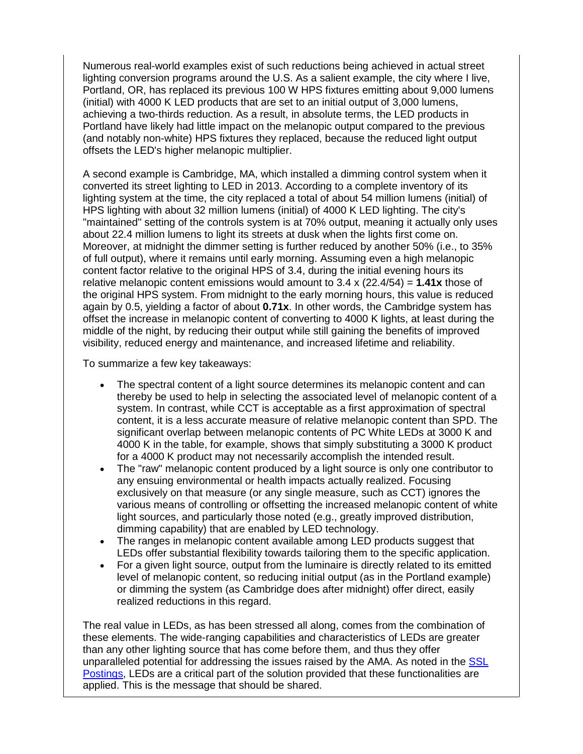Numerous real-world examples exist of such reductions being achieved in actual street lighting conversion programs around the U.S. As a salient example, the city where I live, Portland, OR, has replaced its previous 100 W HPS fixtures emitting about 9,000 lumens (initial) with 4000 K LED products that are set to an initial output of 3,000 lumens, achieving a two-thirds reduction. As a result, in absolute terms, the LED products in Portland have likely had little impact on the melanopic output compared to the previous (and notably non-white) HPS fixtures they replaced, because the reduced light output offsets the LED's higher melanopic multiplier.

A second example is Cambridge, MA, which installed a dimming control system when it converted its street lighting to LED in 2013. According to a complete inventory of its lighting system at the time, the city replaced a total of about 54 million lumens (initial) of HPS lighting with about 32 million lumens (initial) of 4000 K LED lighting. The city's "maintained" setting of the controls system is at 70% output, meaning it actually only uses about 22.4 million lumens to light its streets at dusk when the lights first come on. Moreover, at midnight the dimmer setting is further reduced by another 50% (i.e., to 35% of full output), where it remains until early morning. Assuming even a high melanopic content factor relative to the original HPS of 3.4, during the initial evening hours its relative melanopic content emissions would amount to 3.4 x (22.4/54) = **1.41x** those of the original HPS system. From midnight to the early morning hours, this value is reduced again by 0.5, yielding a factor of about **0.71x**. In other words, the Cambridge system has offset the increase in melanopic content of converting to 4000 K lights, at least during the middle of the night, by reducing their output while still gaining the benefits of improved visibility, reduced energy and maintenance, and increased lifetime and reliability.

To summarize a few key takeaways:

- The spectral content of a light source determines its melanopic content and can thereby be used to help in selecting the associated level of melanopic content of a system. In contrast, while CCT is acceptable as a first approximation of spectral content, it is a less accurate measure of relative melanopic content than SPD. The significant overlap between melanopic contents of PC White LEDs at 3000 K and 4000 K in the table, for example, shows that simply substituting a 3000 K product for a 4000 K product may not necessarily accomplish the intended result.
- The "raw" melanopic content produced by a light source is only one contributor to any ensuing environmental or health impacts actually realized. Focusing exclusively on that measure (or any single measure, such as CCT) ignores the various means of controlling or offsetting the increased melanopic content of white light sources, and particularly those noted (e.g., greatly improved distribution, dimming capability) that are enabled by LED technology.
- The ranges in melanopic content available among LED products suggest that LEDs offer substantial flexibility towards tailoring them to the specific application.
- For a given light source, output from the luminaire is directly related to its emitted level of melanopic content, so reducing initial output (as in the Portland example) or dimming the system (as Cambridge does after midnight) offer direct, easily realized reductions in this regard.

The real value in LEDs, as has been stressed all along, comes from the combination of these elements. The wide-ranging capabilities and characteristics of LEDs are greater than any other lighting source that has come before them, and thus they offer unparalleled potential for addressing the issues raised by the AMA. As noted in the [SSL](http://r20.rs6.net/tn.jsp?t=9icqcbyab.0.0.az4c8joab.0&id=preview&r=3&p=http%3A%2F%2Fenergy.gov%2Fsites%2Fprod%2Ffiles%2F2016%2F06%2Ff32%2Fpostings_06-21-16.pdf)  [Postings,](http://r20.rs6.net/tn.jsp?t=9icqcbyab.0.0.az4c8joab.0&id=preview&r=3&p=http%3A%2F%2Fenergy.gov%2Fsites%2Fprod%2Ffiles%2F2016%2F06%2Ff32%2Fpostings_06-21-16.pdf) LEDs are a critical part of the solution provided that these functionalities are applied. This is the message that should be shared.